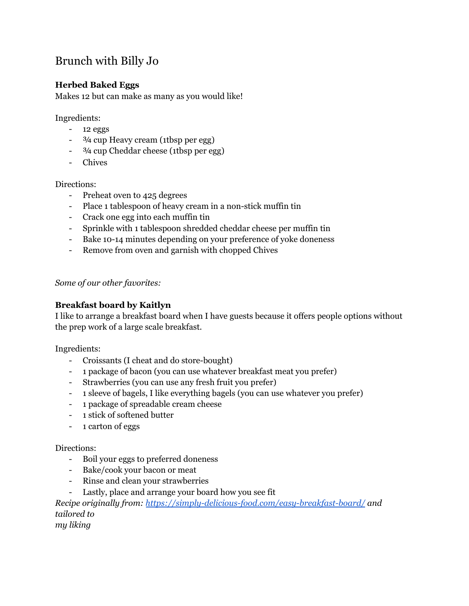# Brunch with Billy Jo

# **Herbed Baked Eggs**

Makes 12 but can make as many as you would like!

Ingredients:

- 12 eggs
- <sup>3</sup>/4 cup Heavy cream (1tbsp per egg)
- ¾ cup Cheddar cheese (1tbsp per egg)
- Chives

Directions:

- Preheat oven to 425 degrees
- Place 1 tablespoon of heavy cream in a non-stick muffin tin
- Crack one egg into each muffin tin
- Sprinkle with 1 tablespoon shredded cheddar cheese per muffin tin
- Bake 10-14 minutes depending on your preference of yoke doneness
- Remove from oven and garnish with chopped Chives

*Some of our other favorites:*

#### **Breakfast board by Kaitlyn**

I like to arrange a breakfast board when I have guests because it offers people options without the prep work of a large scale breakfast.

Ingredients:

- Croissants (I cheat and do store-bought)
- 1 package of bacon (you can use whatever breakfast meat you prefer)
- Strawberries (you can use any fresh fruit you prefer)
- 1 sleeve of bagels, I like everything bagels (you can use whatever you prefer)
- 1 package of spreadable cream cheese
- 1 stick of softened butter
- 1 carton of eggs

Directions:

- Boil your eggs to preferred doneness
- Bake/cook your bacon or meat
- Rinse and clean your strawberries
- Lastly, place and arrange your board how you see fit

*Recipe originally from: <https://simply-delicious-food.com/easy-breakfast-board/> and tailored to my liking*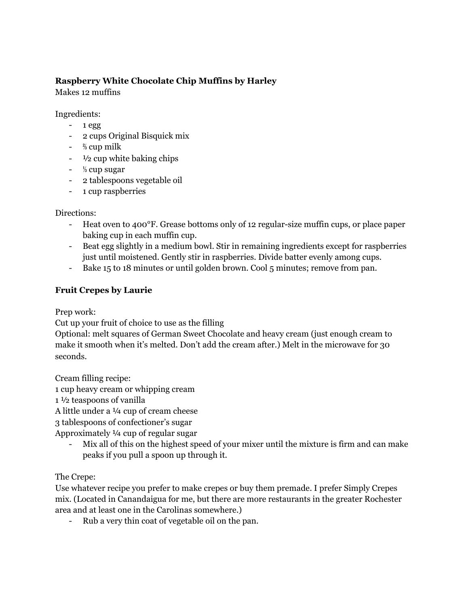# **Raspberry White Chocolate Chip Muffins by Harley**

Makes 12 muffins

Ingredients:

- $-1$  egg
- 2 cups Original Bisquick mix
- ⅔ cup milk
- $\frac{1}{2}$  cup white baking chips
- ⅓ cup sugar
- 2 tablespoons vegetable oil
- 1 cup raspberries

Directions:

- Heat oven to 400°F. Grease bottoms only of 12 regular-size muffin cups, or place paper baking cup in each muffin cup.
- Beat egg slightly in a medium bowl. Stir in remaining ingredients except for raspberries just until moistened. Gently stir in raspberries. Divide batter evenly among cups.
- Bake 15 to 18 minutes or until golden brown. Cool 5 minutes; remove from pan.

# **Fruit Crepes by Laurie**

Prep work:

Cut up your fruit of choice to use as the filling

Optional: melt squares of German Sweet Chocolate and heavy cream (just enough cream to make it smooth when it's melted. Don't add the cream after.) Melt in the microwave for 30 seconds.

Cream filling recipe:

1 cup heavy cream or whipping cream

1 ½ teaspoons of vanilla

A little under a ¼ cup of cream cheese

3 tablespoons of confectioner's sugar

Approximately ¼ cup of regular sugar

Mix all of this on the highest speed of your mixer until the mixture is firm and can make peaks if you pull a spoon up through it.

The Crepe:

Use whatever recipe you prefer to make crepes or buy them premade. I prefer Simply Crepes mix. (Located in Canandaigua for me, but there are more restaurants in the greater Rochester area and at least one in the Carolinas somewhere.)

- Rub a very thin coat of vegetable oil on the pan.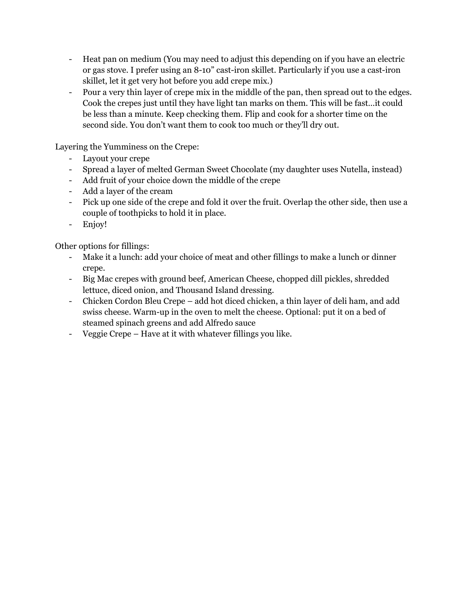- Heat pan on medium (You may need to adjust this depending on if you have an electric or gas stove. I prefer using an 8-10" cast-iron skillet. Particularly if you use a cast-iron skillet, let it get very hot before you add crepe mix.)
- Pour a very thin layer of crepe mix in the middle of the pan, then spread out to the edges. Cook the crepes just until they have light tan marks on them. This will be fast…it could be less than a minute. Keep checking them. Flip and cook for a shorter time on the second side. You don't want them to cook too much or they'll dry out.

Layering the Yumminess on the Crepe:

- Layout your crepe
- Spread a layer of melted German Sweet Chocolate (my daughter uses Nutella, instead)
- Add fruit of your choice down the middle of the crepe
- Add a layer of the cream
- Pick up one side of the crepe and fold it over the fruit. Overlap the other side, then use a couple of toothpicks to hold it in place.
- Enjoy!

Other options for fillings:

- Make it a lunch: add your choice of meat and other fillings to make a lunch or dinner crepe.
- Big Mac crepes with ground beef, American Cheese, chopped dill pickles, shredded lettuce, diced onion, and Thousand Island dressing.
- Chicken Cordon Bleu Crepe add hot diced chicken, a thin layer of deli ham, and add swiss cheese. Warm-up in the oven to melt the cheese. Optional: put it on a bed of steamed spinach greens and add Alfredo sauce
- Veggie Crepe Have at it with whatever fillings you like.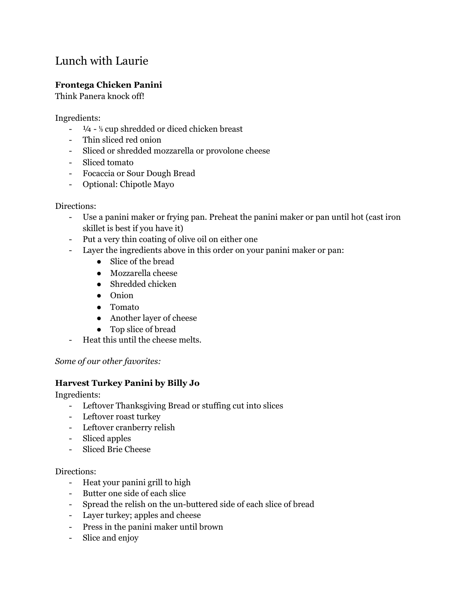# Lunch with Laurie

## **Frontega Chicken Panini**

Think Panera knock off!

Ingredients:

- ¼ ⅓ cup shredded or diced chicken breast
- Thin sliced red onion
- Sliced or shredded mozzarella or provolone cheese
- Sliced tomato
- Focaccia or Sour Dough Bread
- Optional: Chipotle Mayo

#### Directions:

- Use a panini maker or frying pan. Preheat the panini maker or pan until hot (cast iron skillet is best if you have it)
- Put a very thin coating of olive oil on either one
- Layer the ingredients above in this order on your panini maker or pan:
	- Slice of the bread
	- Mozzarella cheese
	- Shredded chicken
	- Onion
	- Tomato
	- Another layer of cheese
	- Top slice of bread
- Heat this until the cheese melts.

#### *Some of our other favorites:*

## **Harvest Turkey Panini by Billy Jo**

Ingredients:

- Leftover Thanksgiving Bread or stuffing cut into slices
- Leftover roast turkey
- Leftover cranberry relish
- Sliced apples
- Sliced Brie Cheese

- Heat your panini grill to high
- Butter one side of each slice
- Spread the relish on the un-buttered side of each slice of bread
- Layer turkey; apples and cheese
- Press in the panini maker until brown
- Slice and enjoy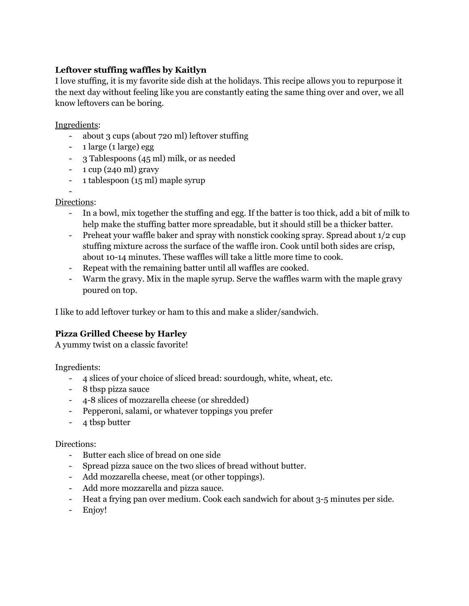# **Leftover stuffing waffles by Kaitlyn**

I love stuffing, it is my favorite side dish at the holidays. This recipe allows you to repurpose it the next day without feeling like you are constantly eating the same thing over and over, we all know leftovers can be boring.

Ingredients:

- about 3 cups (about 720 ml) leftover stuffing
- 1 large (1 large) egg
- 3 Tablespoons (45 ml) milk, or as needed
- $-1$  cup (240 ml) gravy
- 1 tablespoon (15 ml) maple syrup

#### - Directions:

- In a bowl, mix together the stuffing and egg. If the batter is too thick, add a bit of milk to help make the stuffing batter more spreadable, but it should still be a thicker batter.
- Preheat your waffle baker and spray with nonstick cooking spray. Spread about 1/2 cup stuffing mixture across the surface of the waffle iron. Cook until both sides are crisp, about 10-14 minutes. These waffles will take a little more time to cook.
- Repeat with the remaining batter until all waffles are cooked.
- Warm the gravy. Mix in the maple syrup. Serve the waffles warm with the maple gravy poured on top.

I like to add leftover turkey or ham to this and make a slider/sandwich.

## **Pizza Grilled Cheese by Harley**

A yummy twist on a classic favorite!

Ingredients:

- 4 slices of your choice of sliced bread: sourdough, white, wheat, etc.
- 8 tbsp pizza sauce
- 4-8 slices of mozzarella cheese (or shredded)
- Pepperoni, salami, or whatever toppings you prefer
- 4 tbsp butter

- Butter each slice of bread on one side
- Spread pizza sauce on the two slices of bread without butter.
- Add mozzarella cheese, meat (or other toppings).
- Add more mozzarella and pizza sauce.
- Heat a frying pan over medium. Cook each sandwich for about 3-5 minutes per side.
- Enjoy!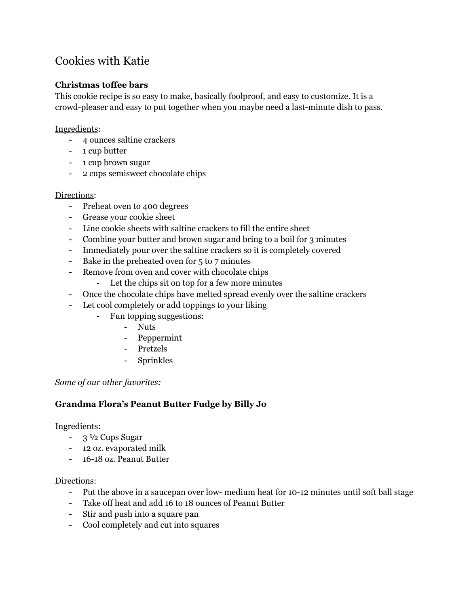# Cookies with Katie

# **Christmas toffee bars**

This cookie recipe is so easy to make, basically foolproof, and easy to customize. It is a crowd-pleaser and easy to put together when you maybe need a last-minute dish to pass.

#### Ingredients:

- 4 ounces saltine crackers
- 1 cup butter
- 1 cup brown sugar
- 2 cups semisweet chocolate chips

#### Directions:

- Preheat oven to 400 degrees
- Grease your cookie sheet
- Line cookie sheets with saltine crackers to fill the entire sheet
- Combine your butter and brown sugar and bring to a boil for 3 minutes
- Immediately pour over the saltine crackers so it is completely covered
- Bake in the preheated oven for 5 to 7 minutes
- Remove from oven and cover with chocolate chips
	- Let the chips sit on top for a few more minutes
- Once the chocolate chips have melted spread evenly over the saltine crackers
- Let cool completely or add toppings to your liking
	- Fun topping suggestions:
		- Nuts
		- Peppermint
		- Pretzels
		- Sprinkles

#### *Some of our other favorites:*

## **Grandma Flora's Peanut Butter Fudge by Billy Jo**

#### Ingredients:

- 3 ½ Cups Sugar
- 12 oz. evaporated milk
- 16-18 oz. Peanut Butter

- Put the above in a saucepan over low- medium heat for 10-12 minutes until soft ball stage
- Take off heat and add 16 to 18 ounces of Peanut Butter
- Stir and push into a square pan
- Cool completely and cut into squares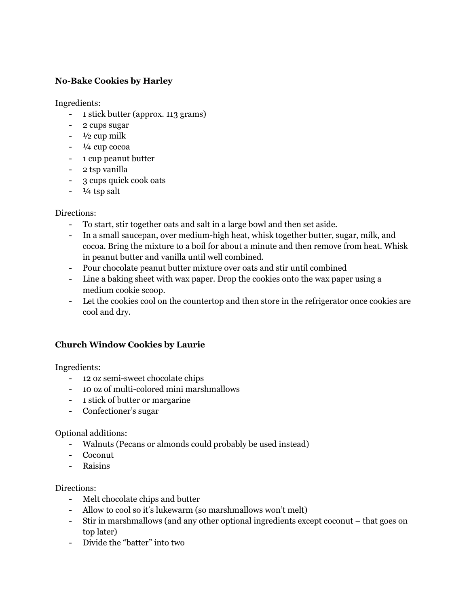## **No-Bake Cookies by Harley**

Ingredients:

- 1 stick butter (approx. 113 grams)
- 2 cups sugar
- $\frac{1}{2}$  cup milk
- $-1/4$  cup cocoa
- 1 cup peanut butter
- 2 tsp vanilla
- 3 cups quick cook oats
- $\frac{1}{4}$  tsp salt

#### Directions:

- To start, stir together oats and salt in a large bowl and then set aside.
- In a small saucepan, over medium-high heat, whisk together butter, sugar, milk, and cocoa. Bring the mixture to a boil for about a minute and then remove from heat. Whisk in peanut butter and vanilla until well combined.
- Pour chocolate peanut butter mixture over oats and stir until combined
- Line a baking sheet with wax paper. Drop the cookies onto the wax paper using a medium cookie scoop.
- Let the cookies cool on the countertop and then store in the refrigerator once cookies are cool and dry.

## **Church Window Cookies by Laurie**

Ingredients:

- 12 oz semi-sweet chocolate chips
- 10 oz of multi-colored mini marshmallows
- 1 stick of butter or margarine
- Confectioner's sugar

#### Optional additions:

- Walnuts (Pecans or almonds could probably be used instead)
- Coconut
- Raisins

- Melt chocolate chips and butter
- Allow to cool so it's lukewarm (so marshmallows won't melt)
- Stir in marshmallows (and any other optional ingredients except coconut that goes on top later)
- Divide the "batter" into two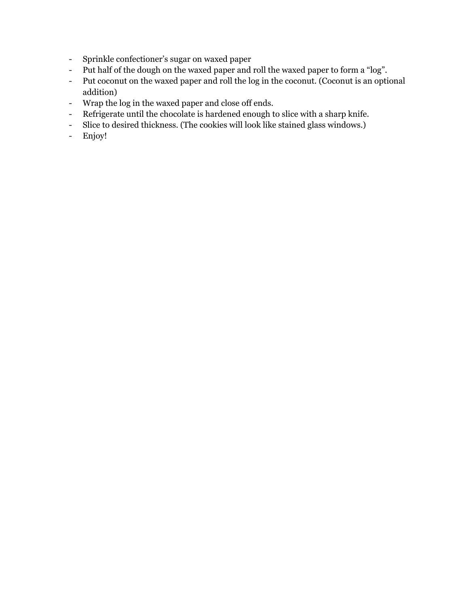- Sprinkle confectioner's sugar on waxed paper
- Put half of the dough on the waxed paper and roll the waxed paper to form a "log".
- Put coconut on the waxed paper and roll the log in the coconut. (Coconut is an optional addition)
- Wrap the log in the waxed paper and close off ends.
- Refrigerate until the chocolate is hardened enough to slice with a sharp knife.
- Slice to desired thickness. (The cookies will look like stained glass windows.)
- Enjoy!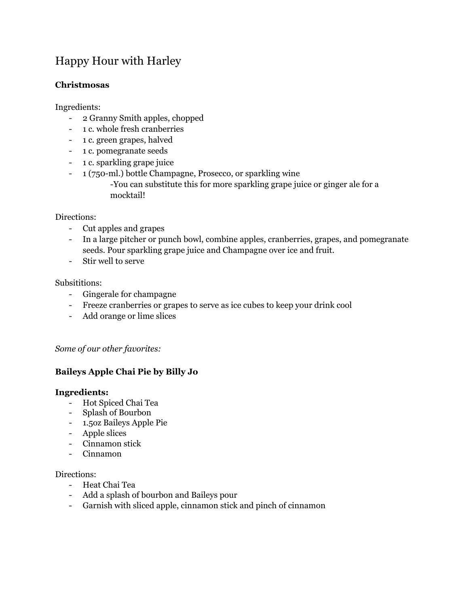# Happy Hour with Harley

## **Christmosas**

Ingredients:

- 2 Granny Smith apples, chopped
- 1 c. whole fresh cranberries
- 1 c. green grapes, halved
- 1 c. pomegranate seeds
- 1 c. sparkling grape juice
- 1 (750-ml.) bottle Champagne, Prosecco, or sparkling wine -You can substitute this for more sparkling grape juice or ginger ale for a mocktail!

#### Directions:

- Cut apples and grapes
- In a large pitcher or punch bowl, combine apples, cranberries, grapes, and pomegranate seeds. Pour sparkling grape juice and Champagne over ice and fruit.
- Stir well to serve

#### Subsititions:

- Gingerale for champagne
- Freeze cranberries or grapes to serve as ice cubes to keep your drink cool
- Add orange or lime slices

## *Some of our other favorites:*

## **Baileys Apple Chai Pie by Billy Jo**

#### **Ingredients:**

- Hot Spiced Chai Tea
- Splash of Bourbon
- 1.5oz Baileys Apple Pie
- Apple slices
- Cinnamon stick
- Cinnamon

- Heat Chai Tea
- Add a splash of bourbon and Baileys pour
- Garnish with sliced apple, cinnamon stick and pinch of cinnamon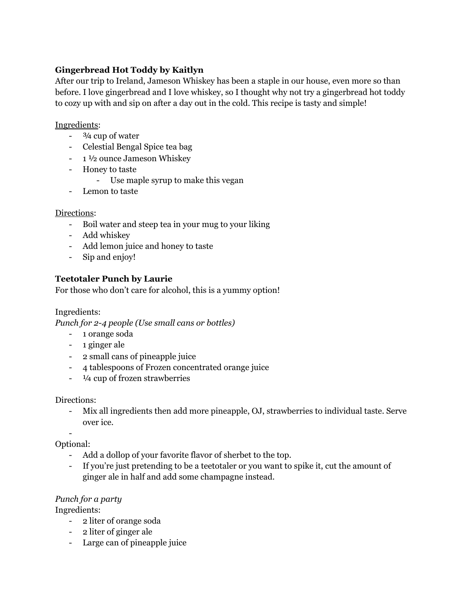# **Gingerbread Hot Toddy by Kaitlyn**

After our trip to Ireland, Jameson Whiskey has been a staple in our house, even more so than before. I love gingerbread and I love whiskey, so I thought why not try a gingerbread hot toddy to cozy up with and sip on after a day out in the cold. This recipe is tasty and simple!

#### Ingredients:

- $\frac{3}{4}$  cup of water
- Celestial Bengal Spice tea bag
- 1 ½ ounce Jameson Whiskey
- Honey to taste
	- Use maple syrup to make this vegan
- Lemon to taste

## Directions:

- Boil water and steep tea in your mug to your liking
- Add whiskey
- Add lemon juice and honey to taste
- Sip and enjoy!

## **Teetotaler Punch by Laurie**

For those who don't care for alcohol, this is a yummy option!

Ingredients:

*Punch for 2-4 people (Use small cans or bottles)*

- 1 orange soda
- 1 ginger ale
- 2 small cans of pineapple juice
- 4 tablespoons of Frozen concentrated orange juice
- ¼ cup of frozen strawberries

## Directions:

- Mix all ingredients then add more pineapple, OJ, strawberries to individual taste. Serve over ice.

-

Optional:

- Add a dollop of your favorite flavor of sherbet to the top.
- If you're just pretending to be a teetotaler or you want to spike it, cut the amount of ginger ale in half and add some champagne instead.

## *Punch for a party*

Ingredients:

- 2 liter of orange soda
- 2 liter of ginger ale
- Large can of pineapple juice